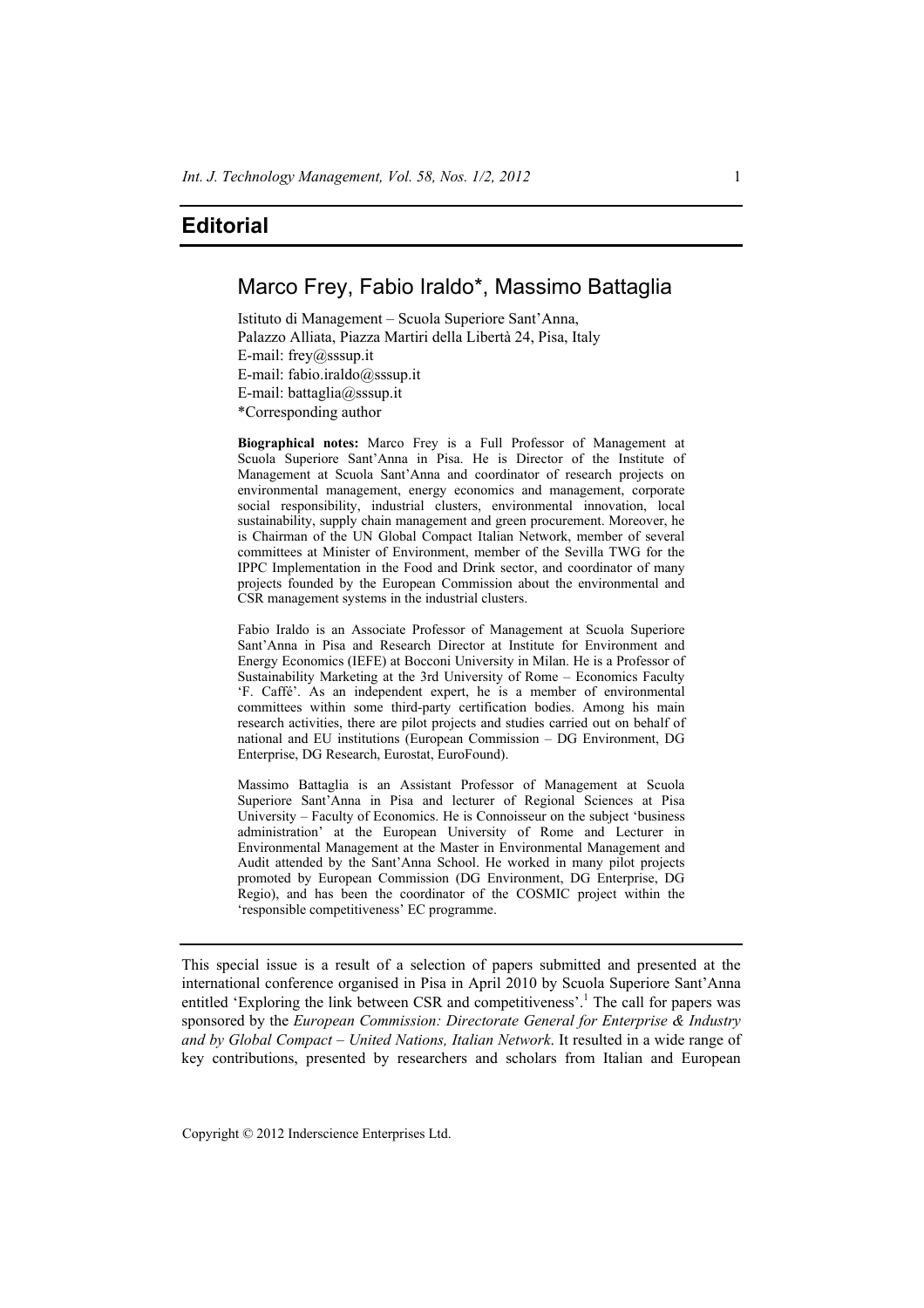## Marco Frey, Fabio Iraldo\*, Massimo Battaglia

Istituto di Management – Scuola Superiore Sant'Anna, Palazzo Alliata, Piazza Martiri della Libertà 24, Pisa, Italy E-mail: frey@sssup.it E-mail: fabio.iraldo@sssup.it E-mail: battaglia@sssup.it \*Corresponding author

**Biographical notes:** Marco Frey is a Full Professor of Management at Scuola Superiore Sant'Anna in Pisa. He is Director of the Institute of Management at Scuola Sant'Anna and coordinator of research projects on environmental management, energy economics and management, corporate social responsibility, industrial clusters, environmental innovation, local sustainability, supply chain management and green procurement. Moreover, he is Chairman of the UN Global Compact Italian Network, member of several committees at Minister of Environment, member of the Sevilla TWG for the IPPC Implementation in the Food and Drink sector, and coordinator of many projects founded by the European Commission about the environmental and CSR management systems in the industrial clusters.

Fabio Iraldo is an Associate Professor of Management at Scuola Superiore Sant'Anna in Pisa and Research Director at Institute for Environment and Energy Economics (IEFE) at Bocconi University in Milan. He is a Professor of Sustainability Marketing at the 3rd University of Rome – Economics Faculty 'F. Caffé'. As an independent expert, he is a member of environmental committees within some third-party certification bodies. Among his main research activities, there are pilot projects and studies carried out on behalf of national and EU institutions (European Commission – DG Environment, DG Enterprise, DG Research, Eurostat, EuroFound).

Massimo Battaglia is an Assistant Professor of Management at Scuola Superiore Sant'Anna in Pisa and lecturer of Regional Sciences at Pisa University – Faculty of Economics. He is Connoisseur on the subject 'business administration' at the European University of Rome and Lecturer in Environmental Management at the Master in Environmental Management and Audit attended by the Sant'Anna School. He worked in many pilot projects promoted by European Commission (DG Environment, DG Enterprise, DG Regio), and has been the coordinator of the COSMIC project within the 'responsible competitiveness' EC programme.

This special issue is a result of a selection of papers submitted and presented at the international conference organised in Pisa in April 2010 by Scuola Superiore Sant'Anna entitled 'Exploring the link between CSR and competitiveness'.<sup>1</sup> The call for papers was sponsored by the *European Commission: Directorate General for Enterprise & Industry and by Global Compact – United Nations, Italian Network*. It resulted in a wide range of key contributions, presented by researchers and scholars from Italian and European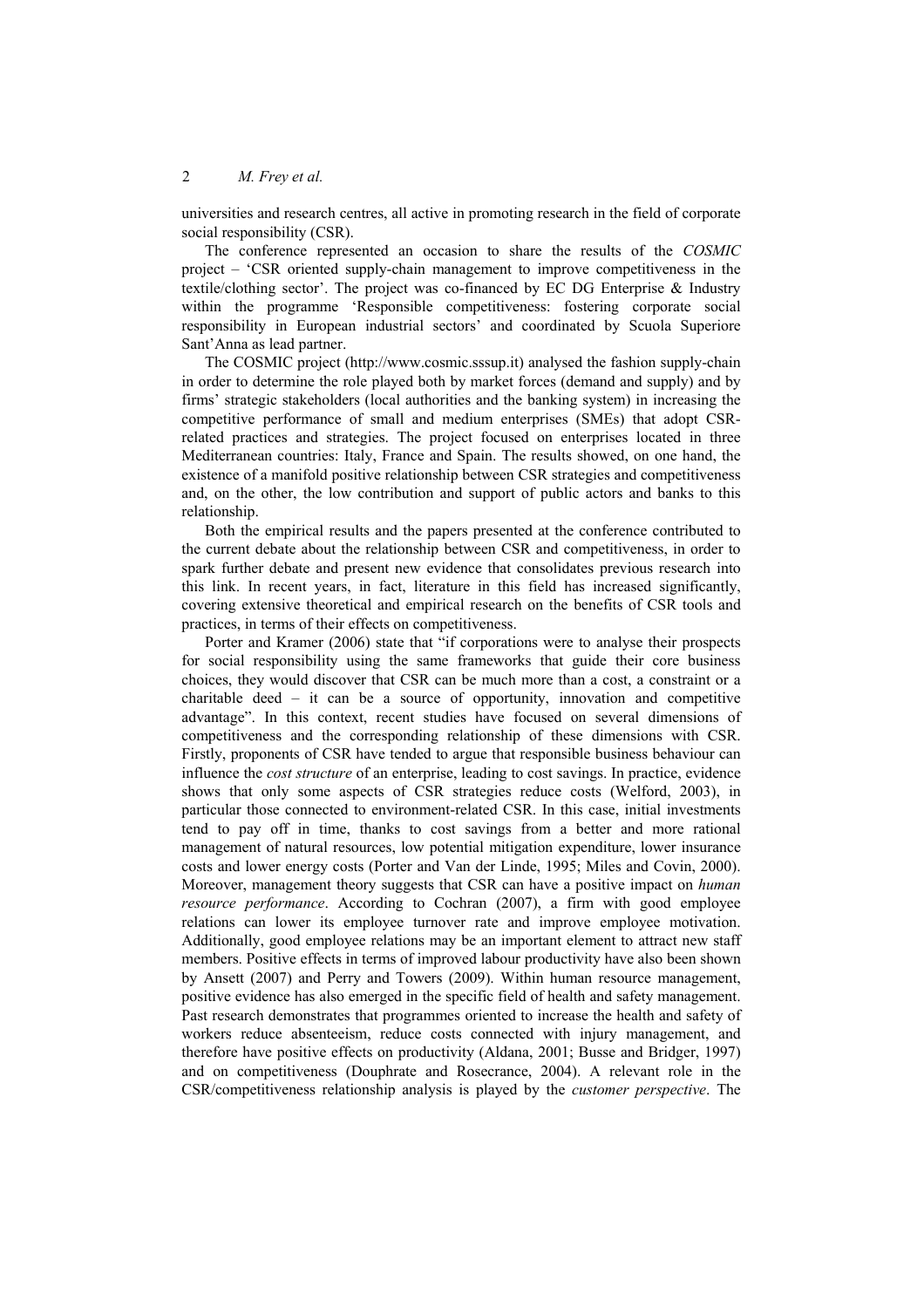universities and research centres, all active in promoting research in the field of corporate social responsibility (CSR).

The conference represented an occasion to share the results of the *COSMIC* project – 'CSR oriented supply-chain management to improve competitiveness in the textile/clothing sector'. The project was co-financed by EC DG Enterprise & Industry within the programme 'Responsible competitiveness: fostering corporate social responsibility in European industrial sectors' and coordinated by Scuola Superiore Sant'Anna as lead partner.

The COSMIC project (http://www.cosmic.sssup.it) analysed the fashion supply-chain in order to determine the role played both by market forces (demand and supply) and by firms' strategic stakeholders (local authorities and the banking system) in increasing the competitive performance of small and medium enterprises (SMEs) that adopt CSRrelated practices and strategies. The project focused on enterprises located in three Mediterranean countries: Italy, France and Spain. The results showed, on one hand, the existence of a manifold positive relationship between CSR strategies and competitiveness and, on the other, the low contribution and support of public actors and banks to this relationship.

Both the empirical results and the papers presented at the conference contributed to the current debate about the relationship between CSR and competitiveness, in order to spark further debate and present new evidence that consolidates previous research into this link. In recent years, in fact, literature in this field has increased significantly, covering extensive theoretical and empirical research on the benefits of CSR tools and practices, in terms of their effects on competitiveness.

Porter and Kramer (2006) state that "if corporations were to analyse their prospects for social responsibility using the same frameworks that guide their core business choices, they would discover that CSR can be much more than a cost, a constraint or a charitable deed – it can be a source of opportunity, innovation and competitive advantage". In this context, recent studies have focused on several dimensions of competitiveness and the corresponding relationship of these dimensions with CSR. Firstly, proponents of CSR have tended to argue that responsible business behaviour can influence the *cost structure* of an enterprise, leading to cost savings. In practice, evidence shows that only some aspects of CSR strategies reduce costs (Welford, 2003), in particular those connected to environment-related CSR. In this case, initial investments tend to pay off in time, thanks to cost savings from a better and more rational management of natural resources, low potential mitigation expenditure, lower insurance costs and lower energy costs (Porter and Van der Linde, 1995; Miles and Covin, 2000). Moreover, management theory suggests that CSR can have a positive impact on *human resource performance*. According to Cochran (2007), a firm with good employee relations can lower its employee turnover rate and improve employee motivation. Additionally, good employee relations may be an important element to attract new staff members. Positive effects in terms of improved labour productivity have also been shown by Ansett (2007) and Perry and Towers (2009). Within human resource management, positive evidence has also emerged in the specific field of health and safety management. Past research demonstrates that programmes oriented to increase the health and safety of workers reduce absenteeism, reduce costs connected with injury management, and therefore have positive effects on productivity (Aldana, 2001; Busse and Bridger, 1997) and on competitiveness (Douphrate and Rosecrance, 2004). A relevant role in the CSR/competitiveness relationship analysis is played by the *customer perspective*. The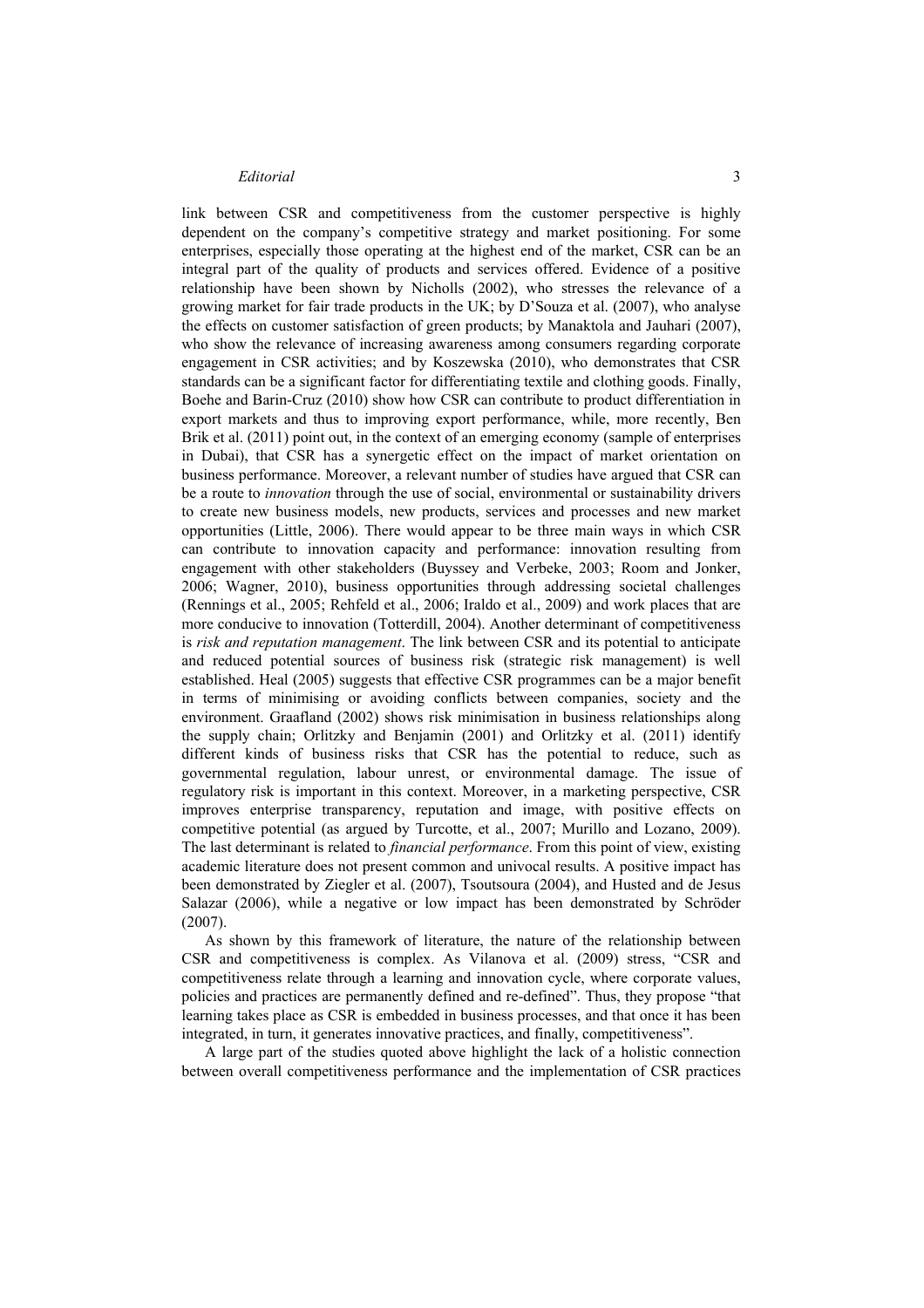link between CSR and competitiveness from the customer perspective is highly dependent on the company's competitive strategy and market positioning. For some enterprises, especially those operating at the highest end of the market, CSR can be an integral part of the quality of products and services offered. Evidence of a positive relationship have been shown by Nicholls (2002), who stresses the relevance of a growing market for fair trade products in the UK; by D'Souza et al. (2007), who analyse the effects on customer satisfaction of green products; by Manaktola and Jauhari (2007), who show the relevance of increasing awareness among consumers regarding corporate engagement in CSR activities; and by Koszewska (2010), who demonstrates that CSR standards can be a significant factor for differentiating textile and clothing goods. Finally, Boehe and Barin-Cruz (2010) show how CSR can contribute to product differentiation in export markets and thus to improving export performance, while, more recently, Ben Brik et al. (2011) point out, in the context of an emerging economy (sample of enterprises in Dubai), that CSR has a synergetic effect on the impact of market orientation on business performance. Moreover, a relevant number of studies have argued that CSR can be a route to *innovation* through the use of social, environmental or sustainability drivers to create new business models, new products, services and processes and new market opportunities (Little, 2006). There would appear to be three main ways in which CSR can contribute to innovation capacity and performance: innovation resulting from engagement with other stakeholders (Buyssey and Verbeke, 2003; Room and Jonker, 2006; Wagner, 2010), business opportunities through addressing societal challenges (Rennings et al., 2005; Rehfeld et al., 2006; Iraldo et al., 2009) and work places that are more conducive to innovation (Totterdill, 2004). Another determinant of competitiveness is *risk and reputation management*. The link between CSR and its potential to anticipate and reduced potential sources of business risk (strategic risk management) is well established. Heal (2005) suggests that effective CSR programmes can be a major benefit in terms of minimising or avoiding conflicts between companies, society and the environment. Graafland (2002) shows risk minimisation in business relationships along the supply chain; Orlitzky and Benjamin (2001) and Orlitzky et al. (2011) identify different kinds of business risks that CSR has the potential to reduce, such as governmental regulation, labour unrest, or environmental damage. The issue of regulatory risk is important in this context. Moreover, in a marketing perspective, CSR improves enterprise transparency, reputation and image, with positive effects on competitive potential (as argued by Turcotte, et al., 2007; Murillo and Lozano, 2009). The last determinant is related to *financial performance*. From this point of view, existing academic literature does not present common and univocal results. A positive impact has been demonstrated by Ziegler et al. (2007), Tsoutsoura (2004), and Husted and de Jesus Salazar (2006), while a negative or low impact has been demonstrated by Schröder (2007).

As shown by this framework of literature, the nature of the relationship between CSR and competitiveness is complex. As Vilanova et al. (2009) stress, "CSR and competitiveness relate through a learning and innovation cycle, where corporate values, policies and practices are permanently defined and re-defined". Thus, they propose "that learning takes place as CSR is embedded in business processes, and that once it has been integrated, in turn, it generates innovative practices, and finally, competitiveness".

A large part of the studies quoted above highlight the lack of a holistic connection between overall competitiveness performance and the implementation of CSR practices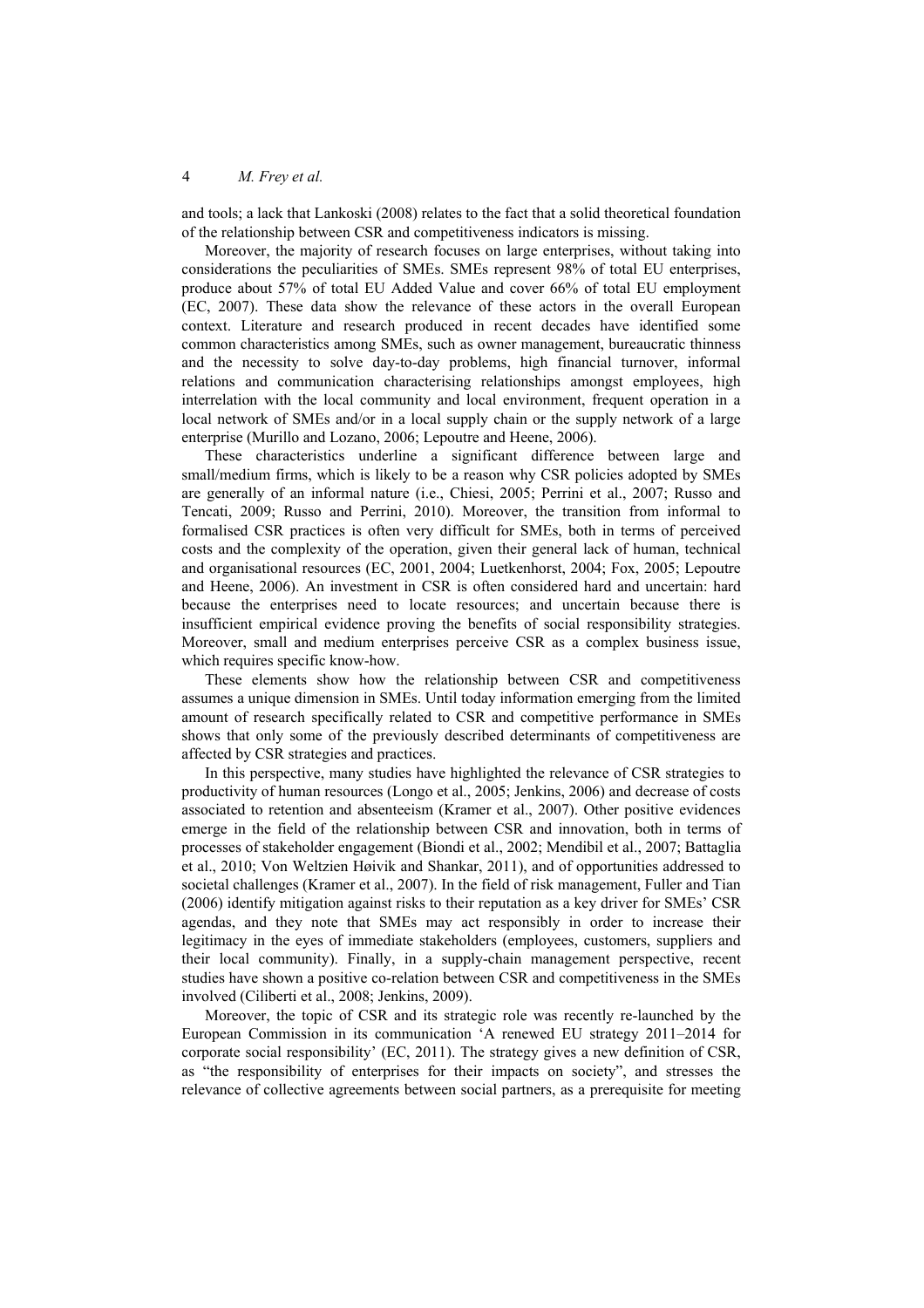and tools; a lack that Lankoski (2008) relates to the fact that a solid theoretical foundation of the relationship between CSR and competitiveness indicators is missing.

Moreover, the majority of research focuses on large enterprises, without taking into considerations the peculiarities of SMEs. SMEs represent 98% of total EU enterprises, produce about 57% of total EU Added Value and cover 66% of total EU employment (EC, 2007). These data show the relevance of these actors in the overall European context. Literature and research produced in recent decades have identified some common characteristics among SMEs, such as owner management, bureaucratic thinness and the necessity to solve day-to-day problems, high financial turnover, informal relations and communication characterising relationships amongst employees, high interrelation with the local community and local environment, frequent operation in a local network of SMEs and/or in a local supply chain or the supply network of a large enterprise (Murillo and Lozano, 2006; Lepoutre and Heene, 2006).

These characteristics underline a significant difference between large and small/medium firms, which is likely to be a reason why CSR policies adopted by SMEs are generally of an informal nature (i.e., Chiesi, 2005; Perrini et al., 2007; Russo and Tencati, 2009; Russo and Perrini, 2010). Moreover, the transition from informal to formalised CSR practices is often very difficult for SMEs, both in terms of perceived costs and the complexity of the operation, given their general lack of human, technical and organisational resources (EC, 2001, 2004; Luetkenhorst, 2004; Fox, 2005; Lepoutre and Heene, 2006). An investment in CSR is often considered hard and uncertain: hard because the enterprises need to locate resources; and uncertain because there is insufficient empirical evidence proving the benefits of social responsibility strategies. Moreover, small and medium enterprises perceive CSR as a complex business issue, which requires specific know-how.

These elements show how the relationship between CSR and competitiveness assumes a unique dimension in SMEs. Until today information emerging from the limited amount of research specifically related to CSR and competitive performance in SMEs shows that only some of the previously described determinants of competitiveness are affected by CSR strategies and practices.

In this perspective, many studies have highlighted the relevance of CSR strategies to productivity of human resources (Longo et al., 2005; Jenkins, 2006) and decrease of costs associated to retention and absenteeism (Kramer et al., 2007). Other positive evidences emerge in the field of the relationship between CSR and innovation, both in terms of processes of stakeholder engagement (Biondi et al., 2002; Mendibil et al., 2007; Battaglia et al., 2010; Von Weltzien Høivik and Shankar, 2011), and of opportunities addressed to societal challenges (Kramer et al., 2007). In the field of risk management, Fuller and Tian (2006) identify mitigation against risks to their reputation as a key driver for SMEs' CSR agendas, and they note that SMEs may act responsibly in order to increase their legitimacy in the eyes of immediate stakeholders (employees, customers, suppliers and their local community). Finally, in a supply-chain management perspective, recent studies have shown a positive co-relation between CSR and competitiveness in the SMEs involved (Ciliberti et al., 2008; Jenkins, 2009).

Moreover, the topic of CSR and its strategic role was recently re-launched by the European Commission in its communication 'A renewed EU strategy 2011–2014 for corporate social responsibility' (EC, 2011). The strategy gives a new definition of CSR, as "the responsibility of enterprises for their impacts on society", and stresses the relevance of collective agreements between social partners, as a prerequisite for meeting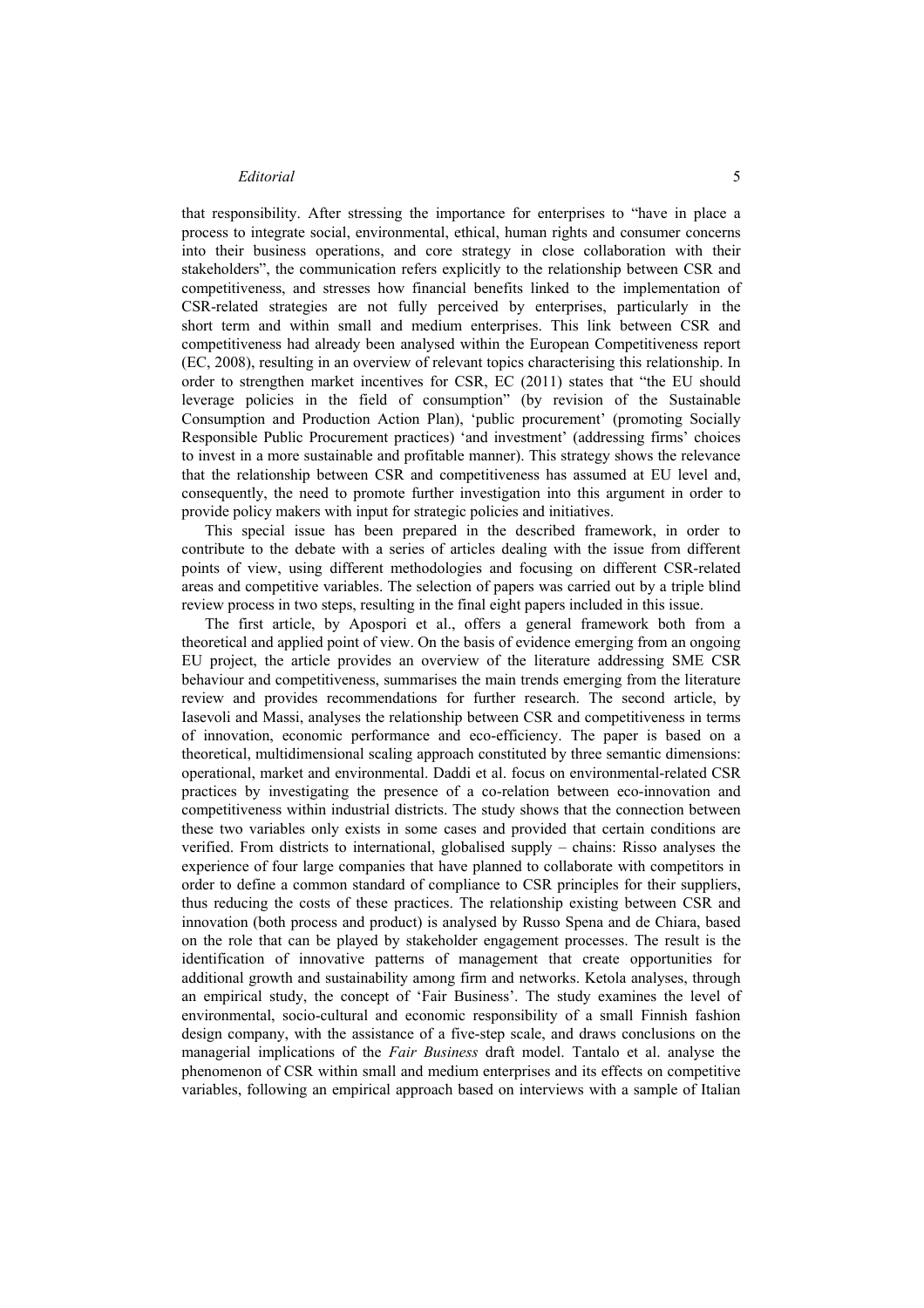that responsibility. After stressing the importance for enterprises to "have in place a process to integrate social, environmental, ethical, human rights and consumer concerns into their business operations, and core strategy in close collaboration with their stakeholders", the communication refers explicitly to the relationship between CSR and competitiveness, and stresses how financial benefits linked to the implementation of CSR-related strategies are not fully perceived by enterprises, particularly in the short term and within small and medium enterprises. This link between CSR and competitiveness had already been analysed within the European Competitiveness report (EC, 2008), resulting in an overview of relevant topics characterising this relationship. In order to strengthen market incentives for CSR, EC (2011) states that "the EU should leverage policies in the field of consumption" (by revision of the Sustainable Consumption and Production Action Plan), 'public procurement' (promoting Socially Responsible Public Procurement practices) 'and investment' (addressing firms' choices to invest in a more sustainable and profitable manner). This strategy shows the relevance that the relationship between CSR and competitiveness has assumed at EU level and, consequently, the need to promote further investigation into this argument in order to provide policy makers with input for strategic policies and initiatives.

This special issue has been prepared in the described framework, in order to contribute to the debate with a series of articles dealing with the issue from different points of view, using different methodologies and focusing on different CSR-related areas and competitive variables. The selection of papers was carried out by a triple blind review process in two steps, resulting in the final eight papers included in this issue.

The first article, by Apospori et al., offers a general framework both from a theoretical and applied point of view. On the basis of evidence emerging from an ongoing EU project, the article provides an overview of the literature addressing SME CSR behaviour and competitiveness, summarises the main trends emerging from the literature review and provides recommendations for further research. The second article, by Iasevoli and Massi, analyses the relationship between CSR and competitiveness in terms of innovation, economic performance and eco-efficiency. The paper is based on a theoretical, multidimensional scaling approach constituted by three semantic dimensions: operational, market and environmental. Daddi et al. focus on environmental-related CSR practices by investigating the presence of a co-relation between eco-innovation and competitiveness within industrial districts. The study shows that the connection between these two variables only exists in some cases and provided that certain conditions are verified. From districts to international, globalised supply – chains: Risso analyses the experience of four large companies that have planned to collaborate with competitors in order to define a common standard of compliance to CSR principles for their suppliers, thus reducing the costs of these practices. The relationship existing between CSR and innovation (both process and product) is analysed by Russo Spena and de Chiara, based on the role that can be played by stakeholder engagement processes. The result is the identification of innovative patterns of management that create opportunities for additional growth and sustainability among firm and networks. Ketola analyses, through an empirical study, the concept of 'Fair Business'. The study examines the level of environmental, socio-cultural and economic responsibility of a small Finnish fashion design company, with the assistance of a five-step scale, and draws conclusions on the managerial implications of the *Fair Business* draft model. Tantalo et al. analyse the phenomenon of CSR within small and medium enterprises and its effects on competitive variables, following an empirical approach based on interviews with a sample of Italian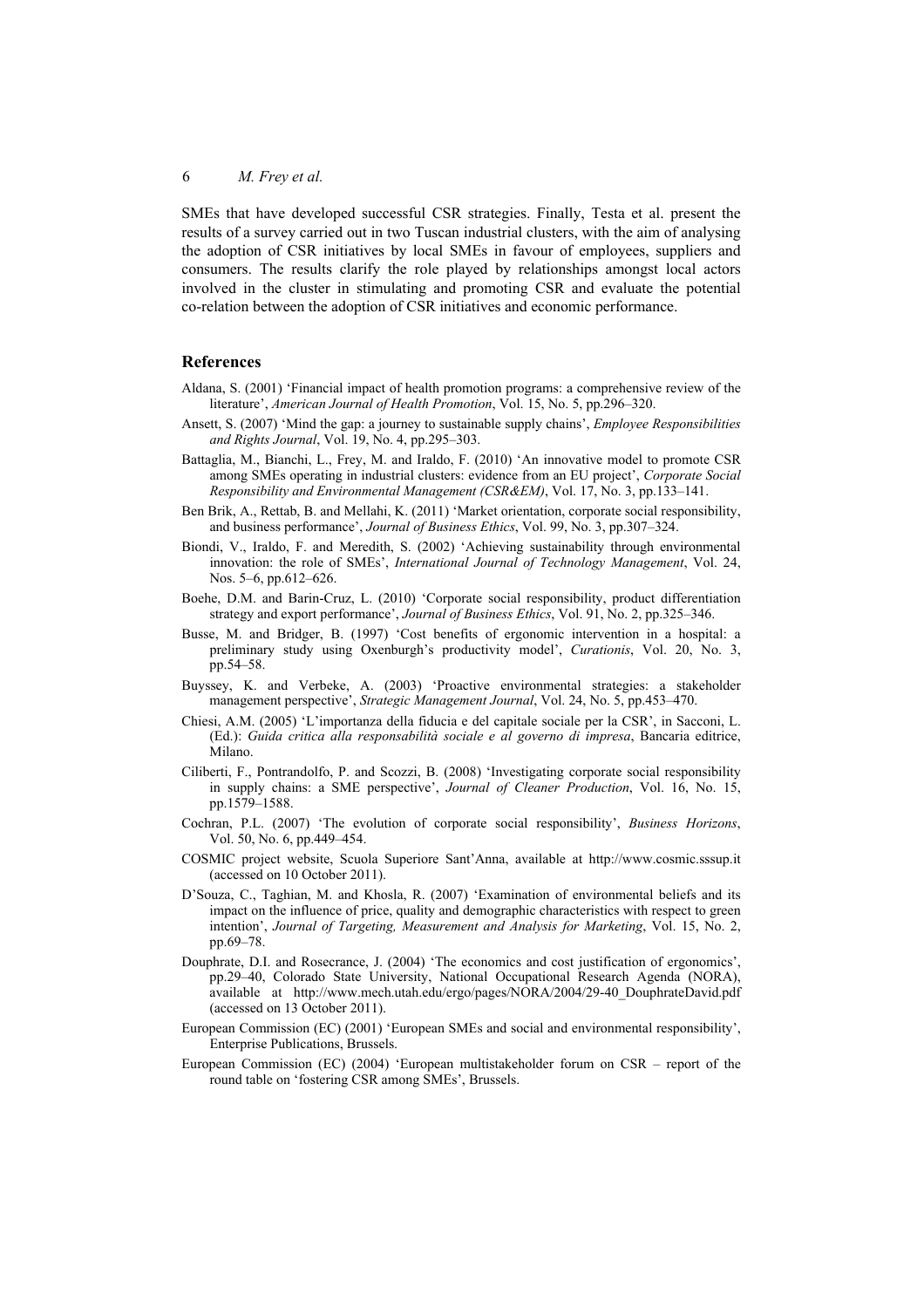SMEs that have developed successful CSR strategies. Finally, Testa et al. present the results of a survey carried out in two Tuscan industrial clusters, with the aim of analysing the adoption of CSR initiatives by local SMEs in favour of employees, suppliers and consumers. The results clarify the role played by relationships amongst local actors involved in the cluster in stimulating and promoting CSR and evaluate the potential co-relation between the adoption of CSR initiatives and economic performance.

#### **References**

- Aldana, S. (2001) 'Financial impact of health promotion programs: a comprehensive review of the literature', *American Journal of Health Promotion*, Vol. 15, No. 5, pp.296–320.
- Ansett, S. (2007) 'Mind the gap: a journey to sustainable supply chains', *Employee Responsibilities and Rights Journal*, Vol. 19, No. 4, pp.295–303.
- Battaglia, M., Bianchi, L., Frey, M. and Iraldo, F. (2010) 'An innovative model to promote CSR among SMEs operating in industrial clusters: evidence from an EU project', *Corporate Social Responsibility and Environmental Management (CSR&EM)*, Vol. 17, No. 3, pp.133–141.
- Ben Brik, A., Rettab, B. and Mellahi, K. (2011) 'Market orientation, corporate social responsibility, and business performance', *Journal of Business Ethics*, Vol. 99, No. 3, pp.307–324.
- Biondi, V., Iraldo, F. and Meredith, S. (2002) 'Achieving sustainability through environmental innovation: the role of SMEs', *International Journal of Technology Management*, Vol. 24, Nos. 5–6, pp.612–626.
- Boehe, D.M. and Barin-Cruz, L. (2010) 'Corporate social responsibility, product differentiation strategy and export performance', *Journal of Business Ethics*, Vol. 91, No. 2, pp.325–346.
- Busse, M. and Bridger, B. (1997) 'Cost benefits of ergonomic intervention in a hospital: a preliminary study using Oxenburgh's productivity model', *Curationis*, Vol. 20, No. 3, pp.54–58.
- Buyssey, K. and Verbeke, A. (2003) 'Proactive environmental strategies: a stakeholder management perspective', *Strategic Management Journal*, Vol. 24, No. 5, pp.453–470.
- Chiesi, A.M. (2005) 'L'importanza della fiducia e del capitale sociale per la CSR', in Sacconi, L. (Ed.): *Guida critica alla responsabilità sociale e al governo di impresa*, Bancaria editrice, Milano.
- Ciliberti, F., Pontrandolfo, P. and Scozzi, B. (2008) 'Investigating corporate social responsibility in supply chains: a SME perspective', *Journal of Cleaner Production*, Vol. 16, No. 15, pp.1579–1588.
- Cochran, P.L. (2007) 'The evolution of corporate social responsibility', *Business Horizons*, Vol. 50, No. 6, pp.449–454.
- COSMIC project website, Scuola Superiore Sant'Anna, available at http://www.cosmic.sssup.it (accessed on 10 October 2011).
- D'Souza, C., Taghian, M. and Khosla, R. (2007) 'Examination of environmental beliefs and its impact on the influence of price, quality and demographic characteristics with respect to green intention', *Journal of Targeting, Measurement and Analysis for Marketing*, Vol. 15, No. 2, pp.69–78.
- Douphrate, D.I. and Rosecrance, J. (2004) 'The economics and cost justification of ergonomics', pp.29–40, Colorado State University, National Occupational Research Agenda (NORA), available at http://www.mech.utah.edu/ergo/pages/NORA/2004/29-40\_DouphrateDavid.pdf (accessed on 13 October 2011).
- European Commission (EC) (2001) 'European SMEs and social and environmental responsibility', Enterprise Publications, Brussels.
- European Commission (EC) (2004) 'European multistakeholder forum on CSR report of the round table on 'fostering CSR among SMEs', Brussels.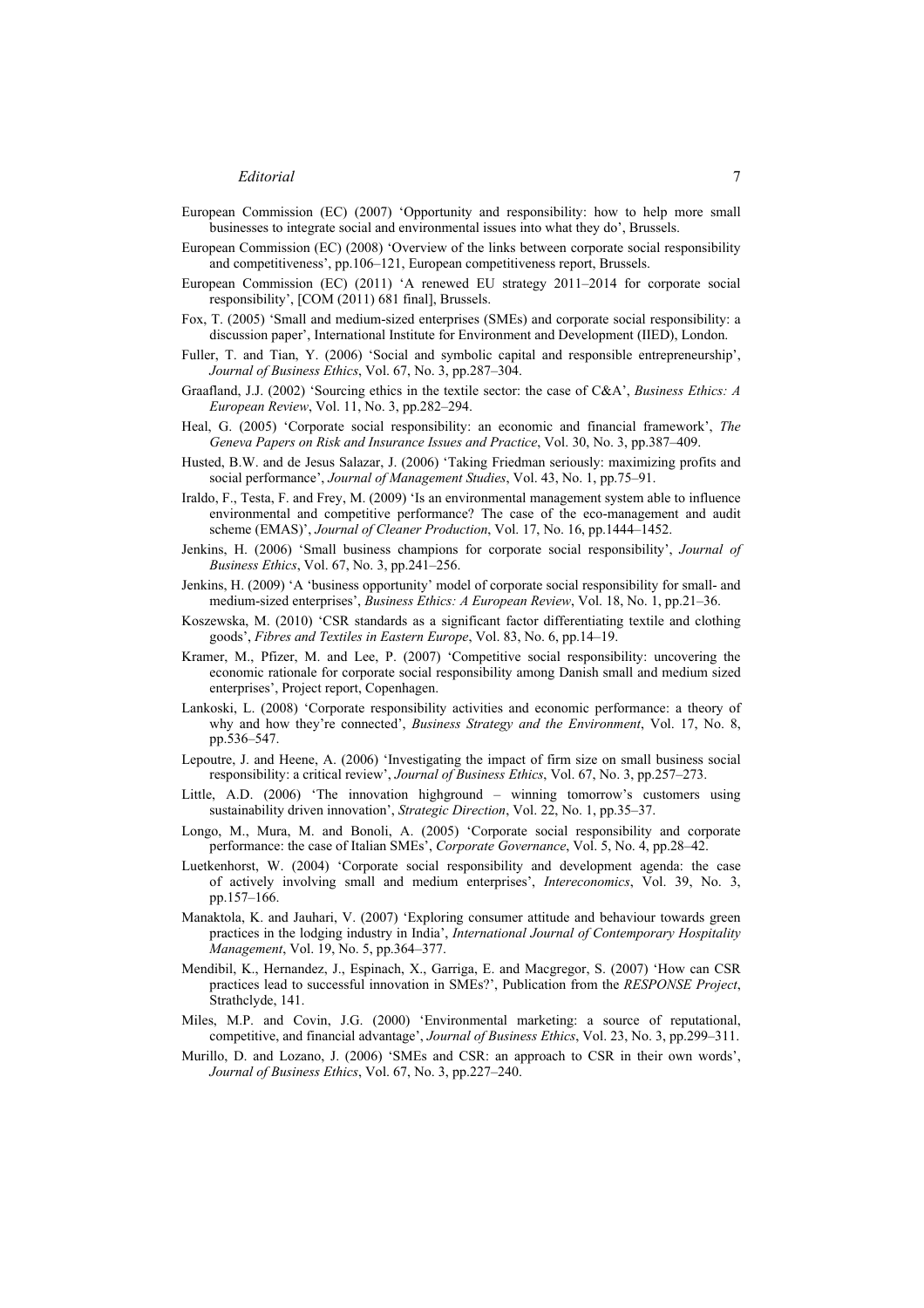- European Commission (EC) (2007) 'Opportunity and responsibility: how to help more small businesses to integrate social and environmental issues into what they do', Brussels.
- European Commission (EC) (2008) 'Overview of the links between corporate social responsibility and competitiveness', pp.106–121, European competitiveness report, Brussels.
- European Commission (EC) (2011) 'A renewed EU strategy 2011–2014 for corporate social responsibility', [COM (2011) 681 final], Brussels.
- Fox, T. (2005) 'Small and medium-sized enterprises (SMEs) and corporate social responsibility: a discussion paper', International Institute for Environment and Development (IIED), London.
- Fuller, T. and Tian, Y. (2006) 'Social and symbolic capital and responsible entrepreneurship', *Journal of Business Ethics*, Vol. 67, No. 3, pp.287–304.
- Graafland, J.J. (2002) 'Sourcing ethics in the textile sector: the case of C&A', *Business Ethics: A European Review*, Vol. 11, No. 3, pp.282–294.
- Heal, G. (2005) 'Corporate social responsibility: an economic and financial framework', *The Geneva Papers on Risk and Insurance Issues and Practice*, Vol. 30, No. 3, pp.387–409.
- Husted, B.W. and de Jesus Salazar, J. (2006) 'Taking Friedman seriously: maximizing profits and social performance', *Journal of Management Studies*, Vol. 43, No. 1, pp.75–91.
- Iraldo, F., Testa, F. and Frey, M. (2009) 'Is an environmental management system able to influence environmental and competitive performance? The case of the eco-management and audit scheme (EMAS)', *Journal of Cleaner Production*, Vol. 17, No. 16, pp.1444–1452.
- Jenkins, H. (2006) 'Small business champions for corporate social responsibility', *Journal of Business Ethics*, Vol. 67, No. 3, pp.241–256.
- Jenkins, H. (2009) 'A 'business opportunity' model of corporate social responsibility for small- and medium-sized enterprises', *Business Ethics: A European Review*, Vol. 18, No. 1, pp.21–36.
- Koszewska, M. (2010) 'CSR standards as a significant factor differentiating textile and clothing goods', *Fibres and Textiles in Eastern Europe*, Vol. 83, No. 6, pp.14–19.
- Kramer, M., Pfizer, M. and Lee, P. (2007) 'Competitive social responsibility: uncovering the economic rationale for corporate social responsibility among Danish small and medium sized enterprises', Project report, Copenhagen.
- Lankoski, L. (2008) 'Corporate responsibility activities and economic performance: a theory of why and how they're connected', *Business Strategy and the Environment*, Vol. 17, No. 8, pp.536–547.
- Lepoutre, J. and Heene, A. (2006) 'Investigating the impact of firm size on small business social responsibility: a critical review', *Journal of Business Ethics*, Vol. 67, No. 3, pp.257–273.
- Little, A.D. (2006) 'The innovation highground winning tomorrow's customers using sustainability driven innovation', *Strategic Direction*, Vol. 22, No. 1, pp.35–37.
- Longo, M., Mura, M. and Bonoli, A. (2005) 'Corporate social responsibility and corporate performance: the case of Italian SMEs', *Corporate Governance*, Vol. 5, No. 4, pp.28–42.
- Luetkenhorst, W. (2004) 'Corporate social responsibility and development agenda: the case of actively involving small and medium enterprises', *Intereconomics*, Vol. 39, No. 3, pp.157–166.
- Manaktola, K. and Jauhari, V. (2007) 'Exploring consumer attitude and behaviour towards green practices in the lodging industry in India', *International Journal of Contemporary Hospitality Management*, Vol. 19, No. 5, pp.364–377.
- Mendibil, K., Hernandez, J., Espinach, X., Garriga, E. and Macgregor, S. (2007) 'How can CSR practices lead to successful innovation in SMEs?', Publication from the *RESPONSE Project*, Strathclyde, 141.
- Miles, M.P. and Covin, J.G. (2000) 'Environmental marketing: a source of reputational, competitive, and financial advantage', *Journal of Business Ethics*, Vol. 23, No. 3, pp.299–311.
- Murillo, D. and Lozano, J. (2006) 'SMEs and CSR: an approach to CSR in their own words', *Journal of Business Ethics*, Vol. 67, No. 3, pp.227–240.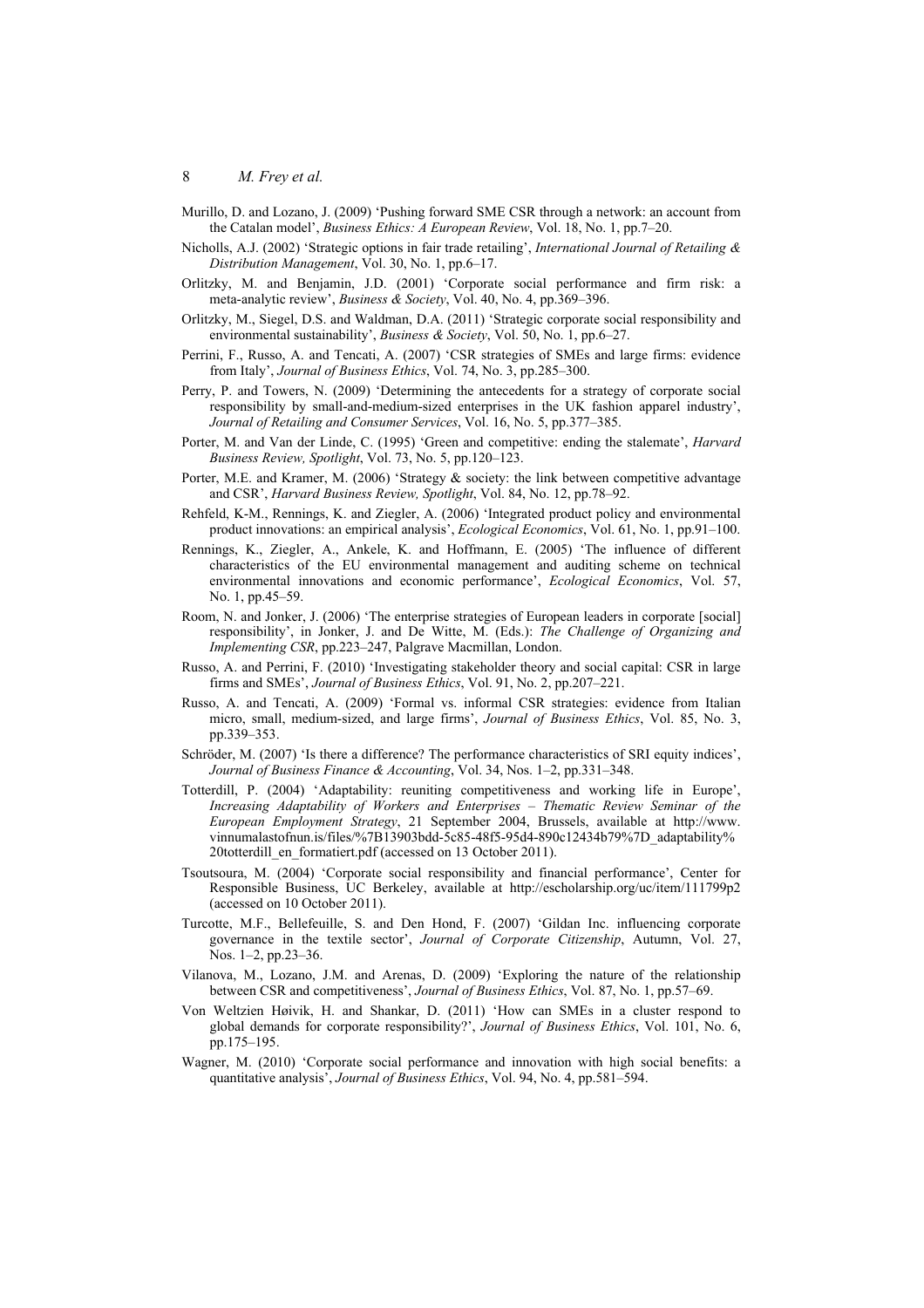- Murillo, D. and Lozano, J. (2009) 'Pushing forward SME CSR through a network: an account from the Catalan model', *Business Ethics: A European Review*, Vol. 18, No. 1, pp.7–20.
- Nicholls, A.J. (2002) 'Strategic options in fair trade retailing', *International Journal of Retailing & Distribution Management*, Vol. 30, No. 1, pp.6–17.
- Orlitzky, M. and Benjamin, J.D. (2001) 'Corporate social performance and firm risk: a meta-analytic review', *Business & Society*, Vol. 40, No. 4, pp.369–396.
- Orlitzky, M., Siegel, D.S. and Waldman, D.A. (2011) 'Strategic corporate social responsibility and environmental sustainability', *Business & Society*, Vol. 50, No. 1, pp.6–27.
- Perrini, F., Russo, A. and Tencati, A. (2007) 'CSR strategies of SMEs and large firms: evidence from Italy', *Journal of Business Ethics*, Vol. 74, No. 3, pp.285–300.
- Perry, P. and Towers, N. (2009) 'Determining the antecedents for a strategy of corporate social responsibility by small-and-medium-sized enterprises in the UK fashion apparel industry', *Journal of Retailing and Consumer Services*, Vol. 16, No. 5, pp.377–385.
- Porter, M. and Van der Linde, C. (1995) 'Green and competitive: ending the stalemate', *Harvard Business Review, Spotlight*, Vol. 73, No. 5, pp.120–123.
- Porter, M.E. and Kramer, M. (2006) 'Strategy & society: the link between competitive advantage and CSR', *Harvard Business Review, Spotlight*, Vol. 84, No. 12, pp.78–92.
- Rehfeld, K-M., Rennings, K. and Ziegler, A. (2006) 'Integrated product policy and environmental product innovations: an empirical analysis', *Ecological Economics*, Vol. 61, No. 1, pp.91–100.
- Rennings, K., Ziegler, A., Ankele, K. and Hoffmann, E. (2005) 'The influence of different characteristics of the EU environmental management and auditing scheme on technical environmental innovations and economic performance', *Ecological Economics*, Vol. 57, No. 1, pp.45–59.
- Room, N. and Jonker, J. (2006) 'The enterprise strategies of European leaders in corporate [social] responsibility', in Jonker, J. and De Witte, M. (Eds.): *The Challenge of Organizing and Implementing CSR*, pp.223–247, Palgrave Macmillan, London.
- Russo, A. and Perrini, F. (2010) 'Investigating stakeholder theory and social capital: CSR in large firms and SMEs', *Journal of Business Ethics*, Vol. 91, No. 2, pp.207–221.
- Russo, A. and Tencati, A. (2009) 'Formal vs. informal CSR strategies: evidence from Italian micro, small, medium-sized, and large firms', *Journal of Business Ethics*, Vol. 85, No. 3, pp.339–353.
- Schröder, M. (2007) 'Is there a difference? The performance characteristics of SRI equity indices', *Journal of Business Finance & Accounting*, Vol. 34, Nos. 1–2, pp.331–348.
- Totterdill, P. (2004) 'Adaptability: reuniting competitiveness and working life in Europe', *Increasing Adaptability of Workers and Enterprises – Thematic Review Seminar of the European Employment Strategy*, 21 September 2004, Brussels, available at http://www. vinnumalastofnun.is/files/%7B13903bdd-5c85-48f5-95d4-890c12434b79%7D\_adaptability% 20totterdill\_en\_formatiert.pdf (accessed on 13 October 2011).
- Tsoutsoura, M. (2004) 'Corporate social responsibility and financial performance', Center for Responsible Business, UC Berkeley, available at http://escholarship.org/uc/item/111799p2 (accessed on 10 October 2011).
- Turcotte, M.F., Bellefeuille, S. and Den Hond, F. (2007) 'Gildan Inc. influencing corporate governance in the textile sector', *Journal of Corporate Citizenship*, Autumn, Vol. 27, Nos. 1–2, pp.23–36.
- Vilanova, M., Lozano, J.M. and Arenas, D. (2009) 'Exploring the nature of the relationship between CSR and competitiveness', *Journal of Business Ethics*, Vol. 87, No. 1, pp.57–69.
- Von Weltzien Høivik, H. and Shankar, D. (2011) 'How can SMEs in a cluster respond to global demands for corporate responsibility?', *Journal of Business Ethics*, Vol. 101, No. 6, pp.175–195.
- Wagner, M. (2010) 'Corporate social performance and innovation with high social benefits: a quantitative analysis', *Journal of Business Ethics*, Vol. 94, No. 4, pp.581–594.